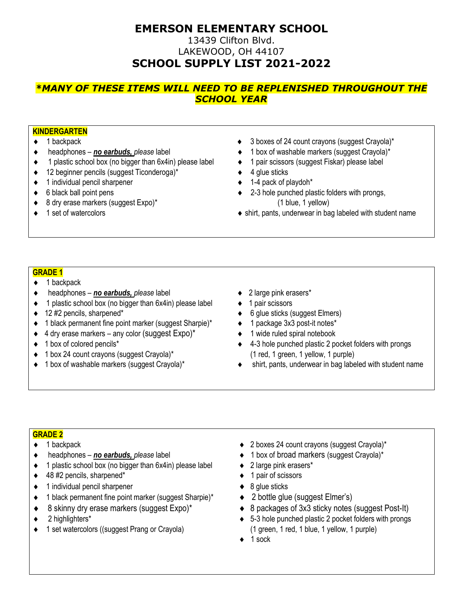# **EMERSON ELEMENTARY SCHOOL**

### 13439 Clifton Blvd. LAKEWOOD, OH 44107 **SCHOOL SUPPLY LIST 2021-2022**

# *\*MANY OF THESE ITEMS WILL NEED TO BE REPLENISHED THROUGHOUT THE SCHOOL YEAR*

#### **KINDERGARTEN**

- 
- 
- 1 plastic school box (no bigger than 6x4in) please label 1 pair scissors (suggest Fiskar) please label
- ◆ 12 beginner pencils (suggest Ticonderoga)\* 4 glue sticks
- ◆ 1 individual pencil sharpener **1-4 pack of playdoh**\*
- 
- ◆ 8 dry erase markers (suggest Expo)\* (1 blue, 1 yellow)
- 
- 1 backpack 3 boxes of 24 count crayons (suggest Crayola)\*
- headphones *no earbuds, please* label 1 box of washable markers (suggest Crayola)\*
	-
	-
	-
- ◆ 6 black ball point pens **2006** black ball point pens **2006 2006 2-3** hole punched plastic folders with prongs,
- ◆ 1 set of watercolors shirt, pants, underwear in bag labeled with student name

#### **GRADE 1**

- $\triangleleft$  1 backpack
- headphones *no earbuds, please* label 2 large pink erasers\*
- $\bullet$  1 plastic school box (no bigger than 6x4in) please label  $\bullet$  1 pair scissors
- 
- 1 black permanent fine point marker (suggest Sharpie)\* 1 package 3x3 post-it notes\*
- $\bullet$  4 dry erase markers any color (suggest Expo)\*  $\bullet$  1 wide ruled spiral notebook
- 
- ◆ 1 box 24 count crayons (suggest Crayola)\* (1 red, 1 green, 1 yellow, 1 purple)
- 
- 
- 
- 12 #2 pencils, sharpened\* 6 glue sticks (suggest Elmers)
	-
	-
- ◆ 1 box of colored pencils<sup>\*</sup> And the state of the state of the punched plastic 2 pocket folders with prongs
- 1 box of washable markers (suggest Crayola)\* Shirt, pants, underwear in bag labeled with student name

#### **GRADE 2**

- 
- 
- $\bullet$  1 plastic school box (no bigger than 6x4in) please label  $\bullet$  2 large pink erasers\*
- ◆ 48 #2 pencils, sharpened\* 
<br>
 1 pair of scissors
- ◆ 1 individual pencil sharpener 8 glue sticks
- ◆ 1 black permanent fine point marker (suggest Sharpie)\* → 2 bottle glue (suggest Elmer's)
- ◆ 8 skinny dry erase markers (suggest Expo)\* <br>● 8 packages of 3x3 sticky notes (suggest Post-It)
- 
- ◆ 1 set watercolors ((suggest Prang or Crayola) (1 green, 1 red, 1 blue, 1 yellow, 1 purple)
- 1 backpack 2 boxes 24 count crayons (suggest Crayola)\*
- headphones *no earbuds, please* label 1 box of broad markers (suggest Crayola)\*
	-
	-
	-
	-
	-
- 2 highlighters\* 5-3 hole punched plastic 2 pocket folders with prongs
	- $\triangleleft$  1 sock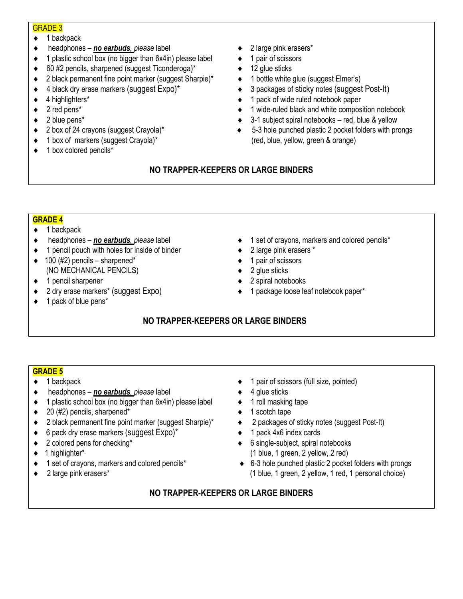#### GRADE 3

- $\bullet$  1 backpack
- headphones *no earbuds, please* label 2 large pink erasers\*
- 1 plastic school box (no bigger than 6x4in) please label 1 pair of scissors
- $\bullet$  60 #2 pencils, sharpened (suggest Ticonderoga)\*  $\bullet$  12 glue sticks
- 2 black permanent fine point marker (suggest Sharpie)\* 1 bottle white glue (suggest Elmer's)
- 
- 
- 
- 
- 
- ◆ 1 box of markers (suggest Crayola)\* (red, blue, yellow, green & orange)
- $\bullet$  1 box colored pencils\*
- 
- 
- 
- 
- ◆ 4 black dry erase markers (suggest Expo)\* <br>● 3 packages of sticky notes (suggest Post-It)
- ◆ 4 highlighters\* <br>
 4 highlighters\* <br>
→ 1 pack of wide ruled notebook paper
- 2 red pens\* 1 wide-ruled black and white composition notebook
- ◆ 2 blue pens<sup>\*</sup> 
<br> **→ 3-1** subject spiral notebooks red, blue & yellow
- ◆ 2 box of 24 crayons (suggest Crayola)\* <br>● 5-3 hole punched plastic 2 pocket folders with prongs

# **NO TRAPPER-KEEPERS OR LARGE BINDERS**

### **GRADE 4**

- $\bullet$  1 backpack
- 
- ◆ 1 pencil pouch with holes for inside of binder  $\rightarrow$  2 large pink erasers \*
- $\bullet$  100 (#2) pencils sharpened\*  $\bullet$  1 pair of scissors (NO MECHANICAL PENCILS) 2 glue sticks
- ◆ 1 pencil sharpener <br>
→ 2 spiral notebooks
- ◆ 2 dry erase markers\* (suggest Expo) <br>● 1 package loose leaf notebook paper\*
- $\bullet$  1 pack of blue pens\*
- headphones *no earbuds, please* label 1 set of crayons, markers and colored pencils\*
	-
	-
	-
	-
	-

# **NO TRAPPER-KEEPERS OR LARGE BINDERS**

### **GRADE 5**

- 
- ◆ headphones *no earbuds*, *please* label 4 glue sticks
- $\bullet$  1 plastic school box (no bigger than 6x4in) please label  $\bullet$  1 roll masking tape
- 20 (#2) pencils, sharpened\* 1 scotch tape
- ◆ 2 black permanent fine point marker (suggest Sharpie)<sup>\*</sup> → 2 packages of sticky notes (suggest Post-It)
- ◆ 6 pack dry erase markers (suggest Expo)\* <br>
→ 1 pack 4x6 index cards
- 
- 
- 
- 
- 1 backpack 1 pair of scissors (full size, pointed)
	-
	-
	-
	-
	-
- ◆ 2 colored pens for checking<sup>\*</sup> <br>
 6 single-subject, spiral notebooks 1 highlighter\* (1 blue, 1 green, 2 yellow, 2 red)
- ◆ 1 set of crayons, markers and colored pencils<sup>\*</sup> <br>● 6-3 hole punched plastic 2 pocket folders with prongs ◆ 2 large pink erasers\* <br>
(1 blue, 1 green, 2 yellow, 1 red, 1 personal choice)

# **NO TRAPPER-KEEPERS OR LARGE BINDERS**